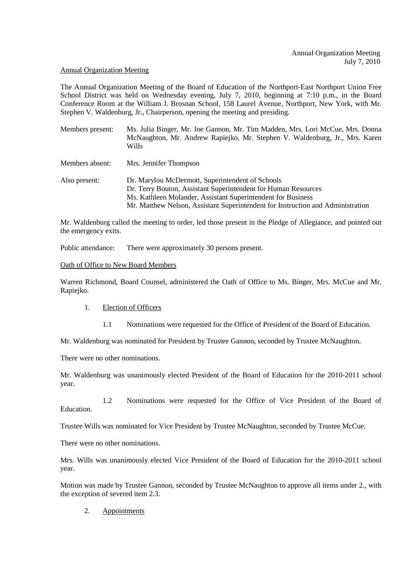#### Annual Organization Meeting

The Annual Organization Meeting of the Board of Education of the Northport-East Northport Union Free School District was held on Wednesday evening, July 7, 2010, beginning at 7:10 p.m., in the Board Conference Room at the William J. Brosnan School, 158 Laurel Avenue, Northport, New York, with Mr. Stephen V. Waldenburg, Jr., Chairperson, opening the meeting and presiding.

- Members present: Ms. Julia Binger, Mr. Joe Gannon, Mr. Tim Madden, Mrs. Lori McCue, Mrs. Donna McNaughton, Mr. Andrew Rapiejko, Mr. Stephen V. Waldenburg, Jr., Mrs. Karen Wills
- Members absent: Mrs. Jennifer Thompson
- Also present: Dr. Marylou McDermott, Superintendent of Schools Dr. Terry Bouton, Assistant Superintendent for Human Resources Ms. Kathleen Molander, Assistant Superintendent for Business Mr. Matthew Nelson, Assistant Superintendent for Instruction and Administration

Mr. Waldenburg called the meeting to order, led those present in the Pledge of Allegiance, and pointed out the emergency exits.

Public attendance: There were approximately 30 persons present.

#### Oath of Office to New Board Members

Warren Richmond, Board Counsel, administered the Oath of Office to Ms. Binger, Mrs. McCue and Mr. Rapiejko.

- 1. Election of Officers
	- 1.1 Nominations were requested for the Office of President of the Board of Education.

Mr. Waldenburg was nominated for President by Trustee Gannon, seconded by Trustee McNaughton.

There were no other nominations.

Mr. Waldenburg was unanimously elected President of the Board of Education for the 2010-2011 school year.

 1.2 Nominations were requested for the Office of Vice President of the Board of **Education** 

Trustee Wills was nominated for Vice President by Trustee McNaughton, seconded by Trustee McCue.

There were no other nominations.

Mrs. Wills was unanimously elected Vice President of the Board of Education for the 2010-2011 school year.

Motion was made by Trustee Gannon, seconded by Trustee McNaughton to approve all items under 2., with the exception of severed item 2.3.

# 2. Appointments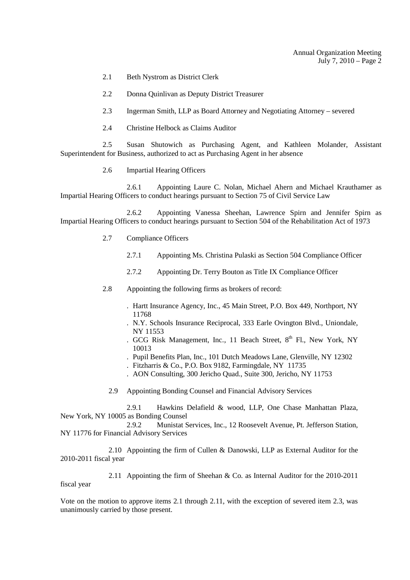- 2.1 Beth Nystrom as District Clerk
- 2.2 Donna Quinlivan as Deputy District Treasurer
- 2.3 Ingerman Smith, LLP as Board Attorney and Negotiating Attorney severed
- 2.4 Christine Helbock as Claims Auditor

 2.5 Susan Shutowich as Purchasing Agent, and Kathleen Molander, Assistant Superintendent for Business, authorized to act as Purchasing Agent in her absence

2.6 Impartial Hearing Officers

 2.6.1 Appointing Laure C. Nolan, Michael Ahern and Michael Krauthamer as Impartial Hearing Officers to conduct hearings pursuant to Section 75 of Civil Service Law

 2.6.2 Appointing Vanessa Sheehan, Lawrence Spirn and Jennifer Spirn as Impartial Hearing Officers to conduct hearings pursuant to Section 504 of the Rehabilitation Act of 1973

- 2.7 Compliance Officers
	- 2.7.1 Appointing Ms. Christina Pulaski as Section 504 Compliance Officer
	- 2.7.2 Appointing Dr. Terry Bouton as Title IX Compliance Officer
- 2.8 Appointing the following firms as brokers of record:
	- . Hartt Insurance Agency, Inc., 45 Main Street, P.O. Box 449, Northport, NY 11768
	- . N.Y. Schools Insurance Reciprocal, 333 Earle Ovington Blvd., Uniondale, NY 11553
	- . GCG Risk Management, Inc., 11 Beach Street,  $8<sup>th</sup>$  Fl., New York, NY 10013
	- . Pupil Benefits Plan, Inc., 101 Dutch Meadows Lane, Glenville, NY 12302
	- . Fitzharris & Co., P.O. Box 9182, Farmingdale, NY 11735
	- . AON Consulting, 300 Jericho Quad., Suite 300, Jericho, NY 11753
	- 2.9 Appointing Bonding Counsel and Financial Advisory Services

 2.9.1 Hawkins Delafield & wood, LLP, One Chase Manhattan Plaza, New York, NY 10005 as Bonding Counsel

 2.9.2 Munistat Services, Inc., 12 Roosevelt Avenue, Pt. Jefferson Station, NY 11776 for Financial Advisory Services

 2.10 Appointing the firm of Cullen & Danowski, LLP as External Auditor for the 2010-2011 fiscal year

 2.11 Appointing the firm of Sheehan & Co. as Internal Auditor for the 2010-2011 fiscal year

Vote on the motion to approve items 2.1 through 2.11, with the exception of severed item 2.3, was unanimously carried by those present.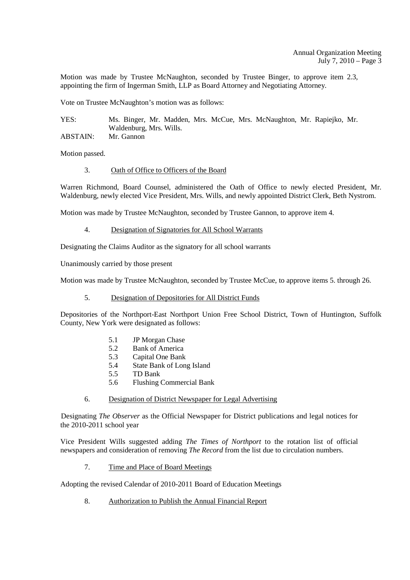Motion was made by Trustee McNaughton, seconded by Trustee Binger, to approve item 2.3, appointing the firm of Ingerman Smith, LLP as Board Attorney and Negotiating Attorney.

Vote on Trustee McNaughton's motion was as follows:

YES: Ms. Binger, Mr. Madden, Mrs. McCue, Mrs. McNaughton, Mr. Rapiejko, Mr. Waldenburg, Mrs. Wills. ABSTAIN: Mr. Gannon

Motion passed.

#### 3. Oath of Office to Officers of the Board

Warren Richmond, Board Counsel, administered the Oath of Office to newly elected President, Mr. Waldenburg, newly elected Vice President, Mrs. Wills, and newly appointed District Clerk, Beth Nystrom.

Motion was made by Trustee McNaughton, seconded by Trustee Gannon, to approve item 4.

#### 4. Designation of Signatories for All School Warrants

Designating the Claims Auditor as the signatory for all school warrants

Unanimously carried by those present

Motion was made by Trustee McNaughton, seconded by Trustee McCue, to approve items 5. through 26.

#### 5. Designation of Depositories for All District Funds

Depositories of the Northport-East Northport Union Free School District, Town of Huntington, Suffolk County, New York were designated as follows:

- 5.1 JP Morgan Chase
- 5.2 Bank of America
- 5.3 Capital One Bank
- 5.4 State Bank of Long Island
- 5.5 TD Bank
- 5.6 Flushing Commercial Bank
- 6. Designation of District Newspaper for Legal Advertising

 Designating *The Observer* as the Official Newspaper for District publications and legal notices for the 2010-2011 school year

Vice President Wills suggested adding *The Times of Northport* to the rotation list of official newspapers and consideration of removing *The Record* from the list due to circulation numbers.

7. Time and Place of Board Meetings

Adopting the revised Calendar of 2010-2011 Board of Education Meetings

8. Authorization to Publish the Annual Financial Report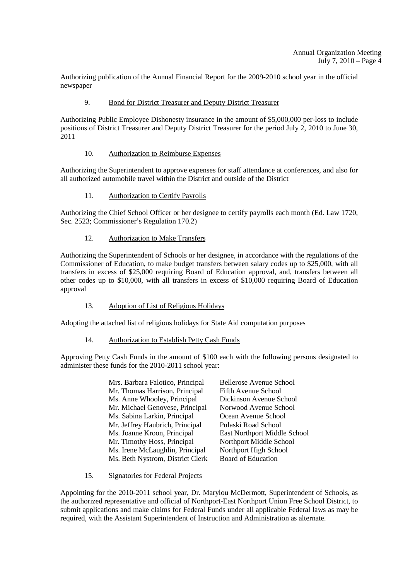Authorizing publication of the Annual Financial Report for the 2009-2010 school year in the official newspaper

# 9. Bond for District Treasurer and Deputy District Treasurer

Authorizing Public Employee Dishonesty insurance in the amount of \$5,000,000 per-loss to include positions of District Treasurer and Deputy District Treasurer for the period July 2, 2010 to June 30, 2011

# 10. Authorization to Reimburse Expenses

Authorizing the Superintendent to approve expenses for staff attendance at conferences, and also for all authorized automobile travel within the District and outside of the District

# 11. Authorization to Certify Payrolls

Authorizing the Chief School Officer or her designee to certify payrolls each month (Ed. Law 1720, Sec. 2523; Commissioner's Regulation 170.2)

# 12. Authorization to Make Transfers

Authorizing the Superintendent of Schools or her designee, in accordance with the regulations of the Commissioner of Education, to make budget transfers between salary codes up to \$25,000, with all transfers in excess of \$25,000 requiring Board of Education approval, and, transfers between all other codes up to \$10,000, with all transfers in excess of \$10,000 requiring Board of Education approval

# 13. Adoption of List of Religious Holidays

Adopting the attached list of religious holidays for State Aid computation purposes

# 14. Authorization to Establish Petty Cash Funds

Approving Petty Cash Funds in the amount of \$100 each with the following persons designated to administer these funds for the 2010-2011 school year:

| Mrs. Barbara Falotico, Principal | <b>Bellerose Avenue School</b> |
|----------------------------------|--------------------------------|
| Mr. Thomas Harrison, Principal   | Fifth Avenue School            |
| Ms. Anne Whooley, Principal      | Dickinson Avenue School        |
| Mr. Michael Genovese, Principal  | Norwood Avenue School          |
| Ms. Sabina Larkin, Principal     | Ocean Avenue School            |
| Mr. Jeffrey Haubrich, Principal  | Pulaski Road School            |
| Ms. Joanne Kroon, Principal      | East Northport Middle School   |
| Mr. Timothy Hoss, Principal      | Northport Middle School        |
| Ms. Irene McLaughlin, Principal  | Northport High School          |
| Ms. Beth Nystrom, District Clerk | <b>Board of Education</b>      |
|                                  |                                |

# 15. Signatories for Federal Projects

Appointing for the 2010-2011 school year, Dr. Marylou McDermott, Superintendent of Schools, as the authorized representative and official of Northport-East Northport Union Free School District, to submit applications and make claims for Federal Funds under all applicable Federal laws as may be required, with the Assistant Superintendent of Instruction and Administration as alternate.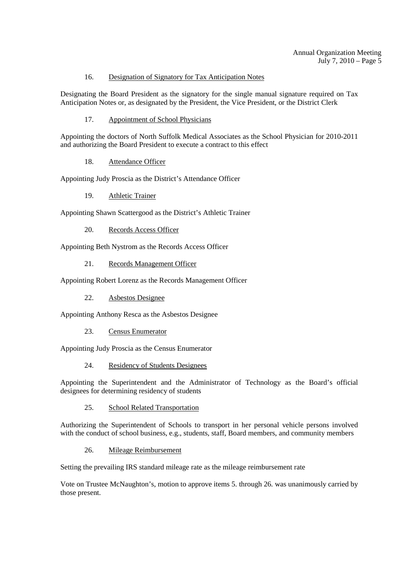# 16. Designation of Signatory for Tax Anticipation Notes

Designating the Board President as the signatory for the single manual signature required on Tax Anticipation Notes or, as designated by the President, the Vice President, or the District Clerk

17. Appointment of School Physicians

Appointing the doctors of North Suffolk Medical Associates as the School Physician for 2010-2011 and authorizing the Board President to execute a contract to this effect

18. Attendance Officer

Appointing Judy Proscia as the District's Attendance Officer

19. Athletic Trainer

Appointing Shawn Scattergood as the District's Athletic Trainer

20. Records Access Officer

Appointing Beth Nystrom as the Records Access Officer

21. Records Management Officer

Appointing Robert Lorenz as the Records Management Officer

22. Asbestos Designee

Appointing Anthony Resca as the Asbestos Designee

23. Census Enumerator

Appointing Judy Proscia as the Census Enumerator

24. Residency of Students Designees

Appointing the Superintendent and the Administrator of Technology as the Board's official designees for determining residency of students

25. School Related Transportation

Authorizing the Superintendent of Schools to transport in her personal vehicle persons involved with the conduct of school business, e.g., students, staff, Board members, and community members

26. Mileage Reimbursement

Setting the prevailing IRS standard mileage rate as the mileage reimbursement rate

Vote on Trustee McNaughton's, motion to approve items 5. through 26. was unanimously carried by those present.